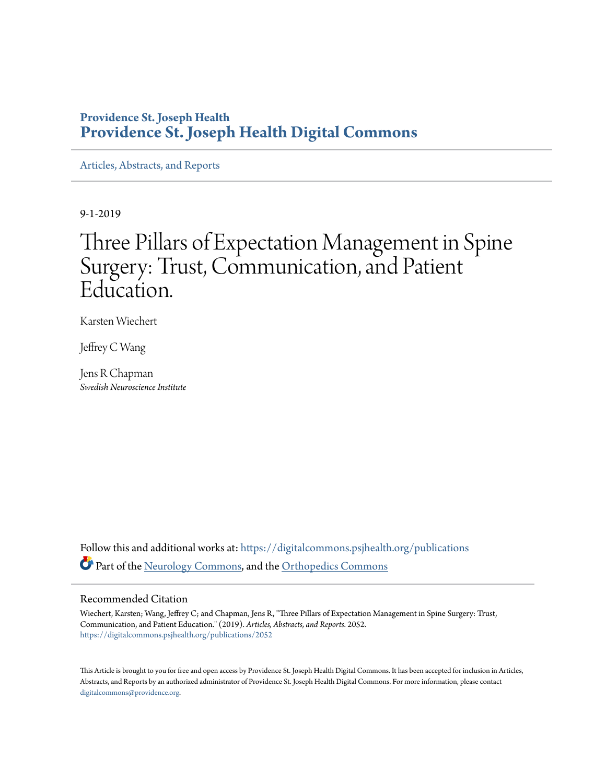### **Providence St. Joseph Health [Providence St. Joseph Health Digital Commons](https://digitalcommons.psjhealth.org/?utm_source=digitalcommons.psjhealth.org%2Fpublications%2F2052&utm_medium=PDF&utm_campaign=PDFCoverPages)**

[Articles, Abstracts, and Reports](https://digitalcommons.psjhealth.org/publications?utm_source=digitalcommons.psjhealth.org%2Fpublications%2F2052&utm_medium=PDF&utm_campaign=PDFCoverPages)

9-1-2019

# Three Pillars of Expectation Management in Spine Surgery: Trust, Communication, and Patient Education.

Karsten Wiechert

Jeffrey C Wang

Jens R Chapman *Swedish Neuroscience Institute*

Follow this and additional works at: [https://digitalcommons.psjhealth.org/publications](https://digitalcommons.psjhealth.org/publications?utm_source=digitalcommons.psjhealth.org%2Fpublications%2F2052&utm_medium=PDF&utm_campaign=PDFCoverPages) Part of the [Neurology Commons](http://network.bepress.com/hgg/discipline/692?utm_source=digitalcommons.psjhealth.org%2Fpublications%2F2052&utm_medium=PDF&utm_campaign=PDFCoverPages), and the [Orthopedics Commons](http://network.bepress.com/hgg/discipline/696?utm_source=digitalcommons.psjhealth.org%2Fpublications%2F2052&utm_medium=PDF&utm_campaign=PDFCoverPages)

#### Recommended Citation

Wiechert, Karsten; Wang, Jeffrey C; and Chapman, Jens R, "Three Pillars of Expectation Management in Spine Surgery: Trust, Communication, and Patient Education." (2019). *Articles, Abstracts, and Reports*. 2052. [https://digitalcommons.psjhealth.org/publications/2052](https://digitalcommons.psjhealth.org/publications/2052?utm_source=digitalcommons.psjhealth.org%2Fpublications%2F2052&utm_medium=PDF&utm_campaign=PDFCoverPages)

This Article is brought to you for free and open access by Providence St. Joseph Health Digital Commons. It has been accepted for inclusion in Articles, Abstracts, and Reports by an authorized administrator of Providence St. Joseph Health Digital Commons. For more information, please contact [digitalcommons@providence.org](mailto:digitalcommons@providence.org).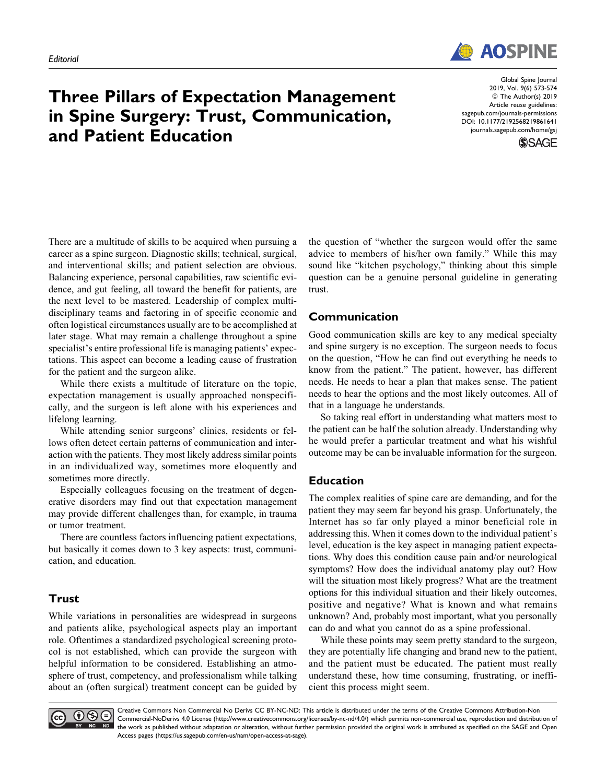

## Three Pillars of Expectation Management in Spine Surgery: Trust, Communication, and Patient Education

Global Spine Journal 2019, Vol. 9(6) 573-574 ª The Author(s) 2019 Article reuse guidelines: [sagepub.com/journals-permissions](https://sagepub.com/journals-permissions) [DOI: 10.1177/2192568219861641](https://doi.org/10.1177/2192568219861641) [journals.sagepub.com/home/gsj](http://journals.sagepub.com/home/gsj)



There are a multitude of skills to be acquired when pursuing a career as a spine surgeon. Diagnostic skills; technical, surgical, and interventional skills; and patient selection are obvious. Balancing experience, personal capabilities, raw scientific evidence, and gut feeling, all toward the benefit for patients, are the next level to be mastered. Leadership of complex multidisciplinary teams and factoring in of specific economic and often logistical circumstances usually are to be accomplished at later stage. What may remain a challenge throughout a spine specialist's entire professional life is managing patients' expectations. This aspect can become a leading cause of frustration for the patient and the surgeon alike.

While there exists a multitude of literature on the topic, expectation management is usually approached nonspecifically, and the surgeon is left alone with his experiences and lifelong learning.

While attending senior surgeons' clinics, residents or fellows often detect certain patterns of communication and interaction with the patients. They most likely address similar points in an individualized way, sometimes more eloquently and sometimes more directly.

Especially colleagues focusing on the treatment of degenerative disorders may find out that expectation management may provide different challenges than, for example, in trauma or tumor treatment.

There are countless factors influencing patient expectations, but basically it comes down to 3 key aspects: trust, communication, and education.

### Trust

While variations in personalities are widespread in surgeons and patients alike, psychological aspects play an important role. Oftentimes a standardized psychological screening protocol is not established, which can provide the surgeon with helpful information to be considered. Establishing an atmosphere of trust, competency, and professionalism while talking about an (often surgical) treatment concept can be guided by the question of "whether the surgeon would offer the same advice to members of his/her own family." While this may sound like "kitchen psychology," thinking about this simple question can be a genuine personal guideline in generating trust.

### Communication

Good communication skills are key to any medical specialty and spine surgery is no exception. The surgeon needs to focus on the question, "How he can find out everything he needs to know from the patient." The patient, however, has different needs. He needs to hear a plan that makes sense. The patient needs to hear the options and the most likely outcomes. All of that in a language he understands.

So taking real effort in understanding what matters most to the patient can be half the solution already. Understanding why he would prefer a particular treatment and what his wishful outcome may be can be invaluable information for the surgeon.

### Education

The complex realities of spine care are demanding, and for the patient they may seem far beyond his grasp. Unfortunately, the Internet has so far only played a minor beneficial role in addressing this. When it comes down to the individual patient's level, education is the key aspect in managing patient expectations. Why does this condition cause pain and/or neurological symptoms? How does the individual anatomy play out? How will the situation most likely progress? What are the treatment options for this individual situation and their likely outcomes, positive and negative? What is known and what remains unknown? And, probably most important, what you personally can do and what you cannot do as a spine professional.

While these points may seem pretty standard to the surgeon, they are potentially life changing and brand new to the patient, and the patient must be educated. The patient must really understand these, how time consuming, frustrating, or inefficient this process might seem.



Creative Commons Non Commercial No Derivs CC BY-NC-ND: This article is distributed under the terms of the Creative Commons Attribution-Non Commercial-NoDerivs 4.0 License ([http://www.creativecommons.org/licenses/by-nc-nd/4.0/\)](http://www.creativecommons.org/licenses/by-nc-nd/4.0/) which permits non-commercial use, reproduction and distribution of ND the work as published without adaptation or alteration, without further permission provided the original work is attributed as specified on the SAGE and Open Access pages [\(https://us.sagepub.com/en-us/nam/open-access-at-sage](https://us.sagepub.com/en-us/nam/open-access-at-sage)).